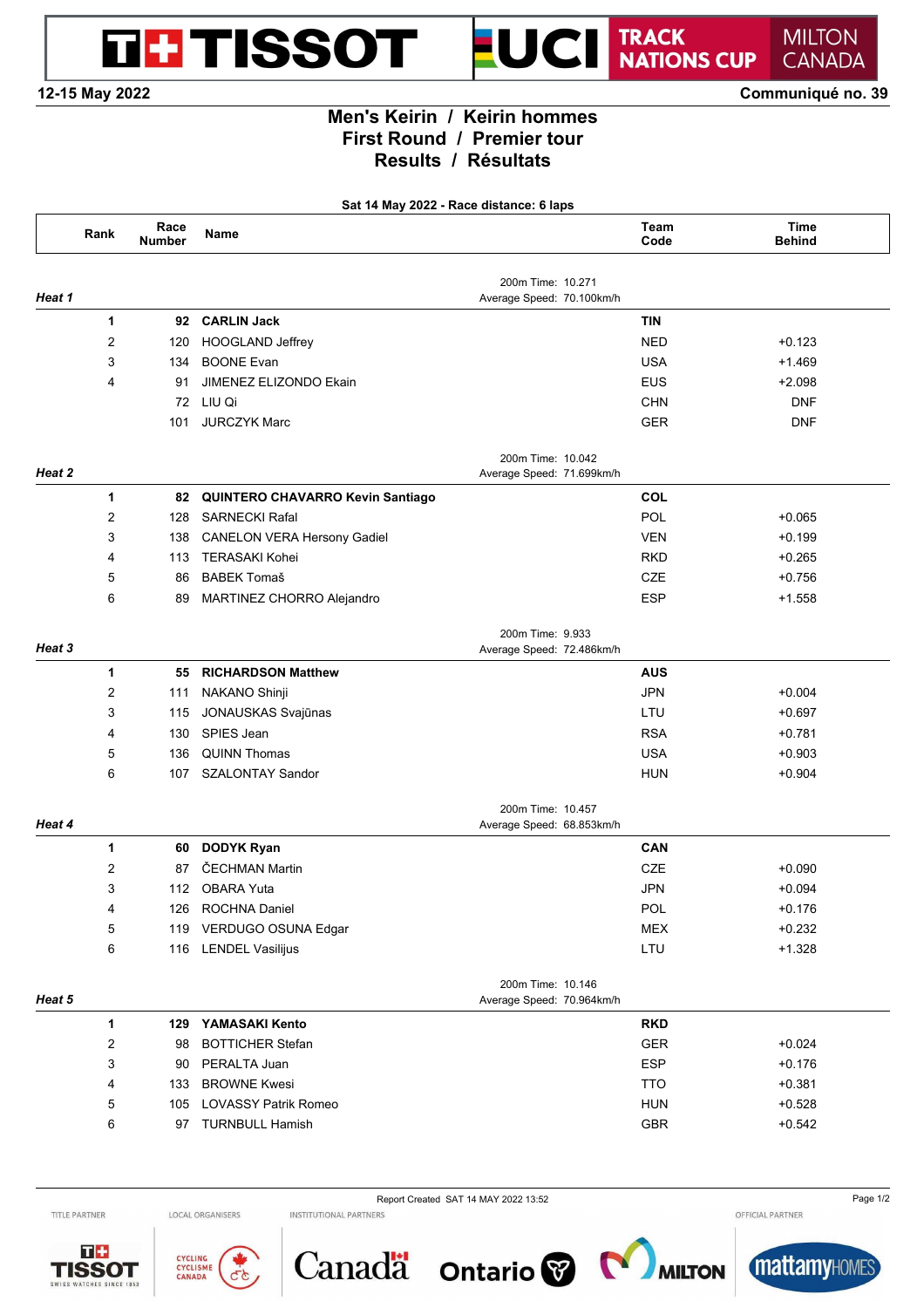**DHTISSOT** 



TRACK<br>NATIONS CUP **CANADA** 

**12-15 May 2022 Communiqué no. 39**

**MILTON** 

## **Men's Keirin / Keirin hommes First Round / Premier tour Results / Résultats**

**Sat 14 May 2022 - Race distance: 6 laps**

|        | Rank | Race<br><b>Number</b> | Name                                |                                                | Team<br>Code | Time<br><b>Behind</b> |
|--------|------|-----------------------|-------------------------------------|------------------------------------------------|--------------|-----------------------|
| Heat 1 |      |                       |                                     | 200m Time: 10.271<br>Average Speed: 70.100km/h |              |                       |
|        | 1    |                       | 92 CARLIN Jack                      |                                                | <b>TIN</b>   |                       |
|        | 2    | 120                   | <b>HOOGLAND Jeffrey</b>             |                                                | <b>NED</b>   | $+0.123$              |
|        | 3    | 134                   | <b>BOONE Evan</b>                   |                                                | <b>USA</b>   | $+1.469$              |
|        | 4    | 91                    | JIMENEZ ELIZONDO Ekain              |                                                | <b>EUS</b>   | $+2.098$              |
|        |      | 72                    | LIU Qi                              |                                                | <b>CHN</b>   | <b>DNF</b>            |
|        |      | 101                   | <b>JURCZYK Marc</b>                 |                                                | <b>GER</b>   | <b>DNF</b>            |
| Heat 2 |      |                       |                                     | 200m Time: 10.042<br>Average Speed: 71.699km/h |              |                       |
|        | 1    |                       | 82 QUINTERO CHAVARRO Kevin Santiago |                                                | COL          |                       |
|        | 2    | 128                   | <b>SARNECKI Rafal</b>               |                                                | POL          | $+0.065$              |
|        | 3    | 138                   | <b>CANELON VERA Hersony Gadiel</b>  |                                                | <b>VEN</b>   | $+0.199$              |
|        | 4    | 113                   | TERASAKI Kohei                      |                                                | <b>RKD</b>   | $+0.265$              |
|        | 5    | 86                    | <b>BABEK Tomaš</b>                  |                                                | CZE          | $+0.756$              |
|        | 6    | 89                    | MARTINEZ CHORRO Alejandro           |                                                | <b>ESP</b>   | $+1.558$              |
| Heat 3 |      |                       |                                     | 200m Time: 9.933<br>Average Speed: 72.486km/h  |              |                       |
|        | 1    | 55                    | <b>RICHARDSON Matthew</b>           |                                                | <b>AUS</b>   |                       |
|        | 2    | 111                   | NAKANO Shinji                       |                                                | <b>JPN</b>   | $+0.004$              |
|        | 3    | 115                   | JONAUSKAS Svajūnas                  |                                                | LTU          | $+0.697$              |
|        | 4    | 130                   | SPIES Jean                          |                                                | <b>RSA</b>   | $+0.781$              |
|        | 5    | 136                   | <b>QUINN Thomas</b>                 |                                                | <b>USA</b>   | $+0.903$              |
|        | 6    | 107                   | <b>SZALONTAY Sandor</b>             |                                                | <b>HUN</b>   | $+0.904$              |
| Heat 4 |      |                       |                                     | 200m Time: 10.457<br>Average Speed: 68.853km/h |              |                       |
|        | 1    | 60                    | <b>DODYK Ryan</b>                   |                                                | CAN          |                       |
|        | 2    | 87                    | ČECHMAN Martin                      |                                                | <b>CZE</b>   | $+0.090$              |
|        | 3    | 112                   | <b>OBARA Yuta</b>                   |                                                | JPN          | $+0.094$              |
|        | 4    | 126                   | <b>ROCHNA Daniel</b>                |                                                | POL          | $+0.176$              |
|        | 5    |                       | 119 VERDUGO OSUNA Edgar             |                                                | <b>MEX</b>   | $+0.232$              |
|        | 6    |                       | 116 LENDEL Vasilijus                |                                                | LTU          | $+1.328$              |
| Heat 5 |      |                       |                                     | 200m Time: 10.146<br>Average Speed: 70.964km/h |              |                       |
|        | 1    | 129                   | YAMASAKI Kento                      |                                                | <b>RKD</b>   |                       |
|        | 2    | 98                    | <b>BOTTICHER Stefan</b>             |                                                | <b>GER</b>   | $+0.024$              |
|        | 3    | 90                    | PERALTA Juan                        |                                                | ESP          | $+0.176$              |
|        | 4    | 133                   | <b>BROWNE Kwesi</b>                 |                                                | <b>TTO</b>   | $+0.381$              |
|        | 5    | 105                   | <b>LOVASSY Patrik Romeo</b>         |                                                | <b>HUN</b>   | $+0.528$              |
|        |      |                       |                                     |                                                |              |                       |

TITLE PARTNER

LOCAL ORGANISERS









Report Created SAT 14 MAY 2022 13:52<br>
INSTITUTIONAL PARTNERS<br>
OFFICIAL PARTNER